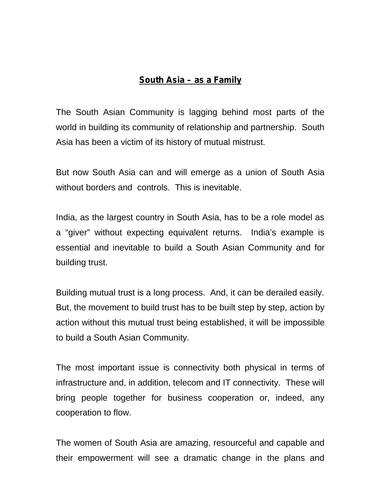## **South Asia – as a Family**

The South Asian Community is lagging behind most parts of the world in building its community of relationship and partnership. South Asia has been a victim of its history of mutual mistrust.

But now South Asia can and will emerge as a union of South Asia without borders and controls. This is inevitable.

India, as the largest country in South Asia, has to be a role model as a "giver" without expecting equivalent returns. India's example is essential and inevitable to build a South Asian Community and for building trust.

Building mutual trust is a long process. And, it can be derailed easily. But, the movement to build trust has to be built step by step, action by action without this mutual trust being established, it will be impossible to build a South Asian Community.

The most important issue is connectivity both physical in terms of infrastructure and, in addition, telecom and IT connectivity. These will bring people together for business cooperation or, indeed, any cooperation to flow.

The women of South Asia are amazing, resourceful and capable and their empowerment will see a dramatic change in the plans and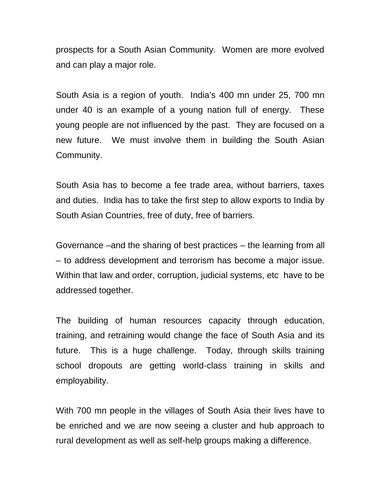prospects for a South Asian Community. Women are more evolved and can play a major role.

South Asia is a region of youth. India's 400 mn under 25, 700 mn under 40 is an example of a young nation full of energy. These young people are not influenced by the past. They are focused on a new future. We must involve them in building the South Asian Community.

South Asia has to become a fee trade area, without barriers, taxes and duties. India has to take the first step to allow exports to India by South Asian Countries, free of duty, free of barriers.

Governance –and the sharing of best practices – the learning from all – to address development and terrorism has become a major issue. Within that law and order, corruption, judicial systems, etc have to be addressed together.

The building of human resources capacity through education, training, and retraining would change the face of South Asia and its future. This is a huge challenge. Today, through skills training school dropouts are getting world-class training in skills and employability.

With 700 mn people in the villages of South Asia their lives have to be enriched and we are now seeing a cluster and hub approach to rural development as well as self-help groups making a difference.